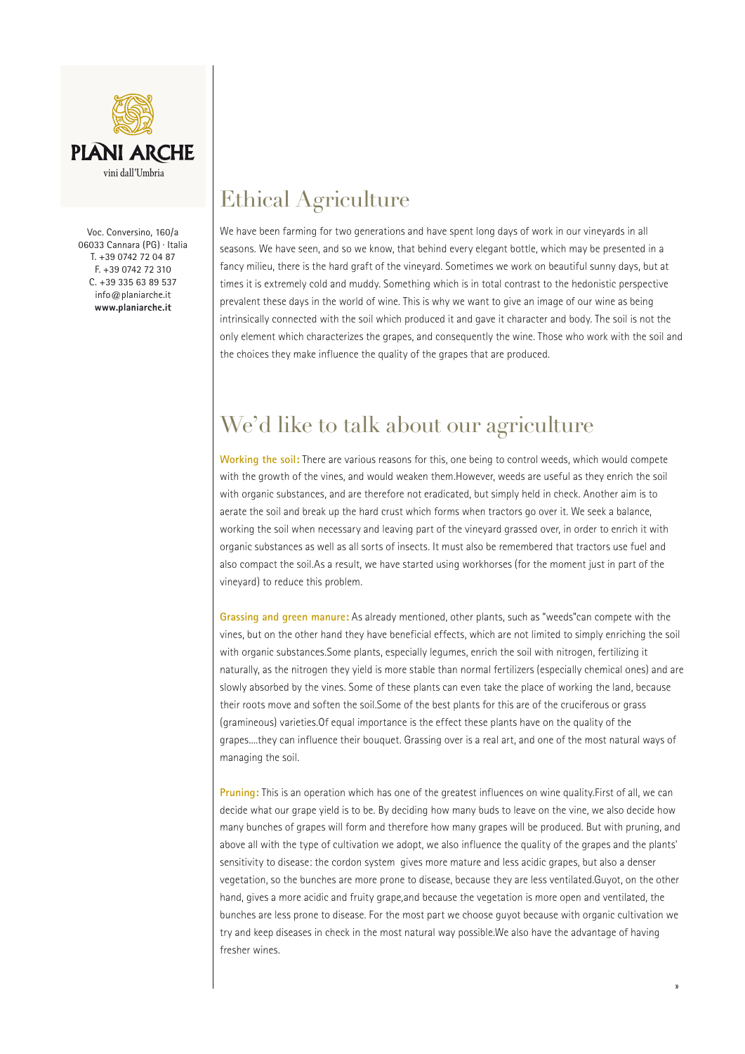

Voc. Conversino, 160/a 06033 Cannara (PG) · Italia T. +39 0742 72 04 87 F. +39 0742 72 310 C. +39 335 63 89 537 info@planiarche.it **www.planiarche.it**

## Ethical Agriculture

We have been farming for two generations and have spent long days of work in our vineyards in all seasons. We have seen, and so we know, that behind every elegant bottle, which may be presented in a fancy milieu, there is the hard graft of the vineyard. Sometimes we work on beautiful sunny days, but at times it is extremely cold and muddy. Something which is in total contrast to the hedonistic perspective prevalent these days in the world of wine. This is why we want to give an image of our wine as being intrinsically connected with the soil which produced it and gave it character and body. The soil is not the only element which characterizes the grapes, and consequently the wine. Those who work with the soil and the choices they make influence the quality of the grapes that are produced.

## We'd like to talk about our agriculture

**Working the soil:** There are various reasons for this, one being to control weeds, which would compete with the growth of the vines, and would weaken them.However, weeds are useful as they enrich the soil with organic substances, and are therefore not eradicated, but simply held in check. Another aim is to aerate the soil and break up the hard crust which forms when tractors go over it. We seek a balance, working the soil when necessary and leaving part of the vineyard grassed over, in order to enrich it with organic substances as well as all sorts of insects. It must also be remembered that tractors use fuel and also compact the soil.As a result, we have started using workhorses (for the moment just in part of the vineyard) to reduce this problem.

**Grassing and green manure:** As already mentioned, other plants, such as "weeds"can compete with the vines, but on the other hand they have beneficial effects, which are not limited to simply enriching the soil with organic substances.Some plants, especially legumes, enrich the soil with nitrogen, fertilizing it naturally, as the nitrogen they yield is more stable than normal fertilizers (especially chemical ones) and are slowly absorbed by the vines. Some of these plants can even take the place of working the land, because their roots move and soften the soil.Some of the best plants for this are of the cruciferous or grass (gramineous) varieties.Of equal importance is the effect these plants have on the quality of the grapes....they can influence their bouquet. Grassing over is a real art, and one of the most natural ways of managing the soil.

**Pruning:** This is an operation which has one of the greatest influences on wine quality.First of all, we can decide what our grape yield is to be. By deciding how many buds to leave on the vine, we also decide how many bunches of grapes will form and therefore how many grapes will be produced. But with pruning, and above all with the type of cultivation we adopt, we also influence the quality of the grapes and the plants' sensitivity to disease: the cordon system gives more mature and less acidic grapes, but also a denser vegetation, so the bunches are more prone to disease, because they are less ventilated.Guyot, on the other hand, gives a more acidic and fruity grape,and because the vegetation is more open and ventilated, the bunches are less prone to disease. For the most part we choose guyot because with organic cultivation we try and keep diseases in check in the most natural way possible.We also have the advantage of having fresher wines.

 ${\mathcal W}$  about what organic agriculture is. There is, There is, There is, There is, Theorem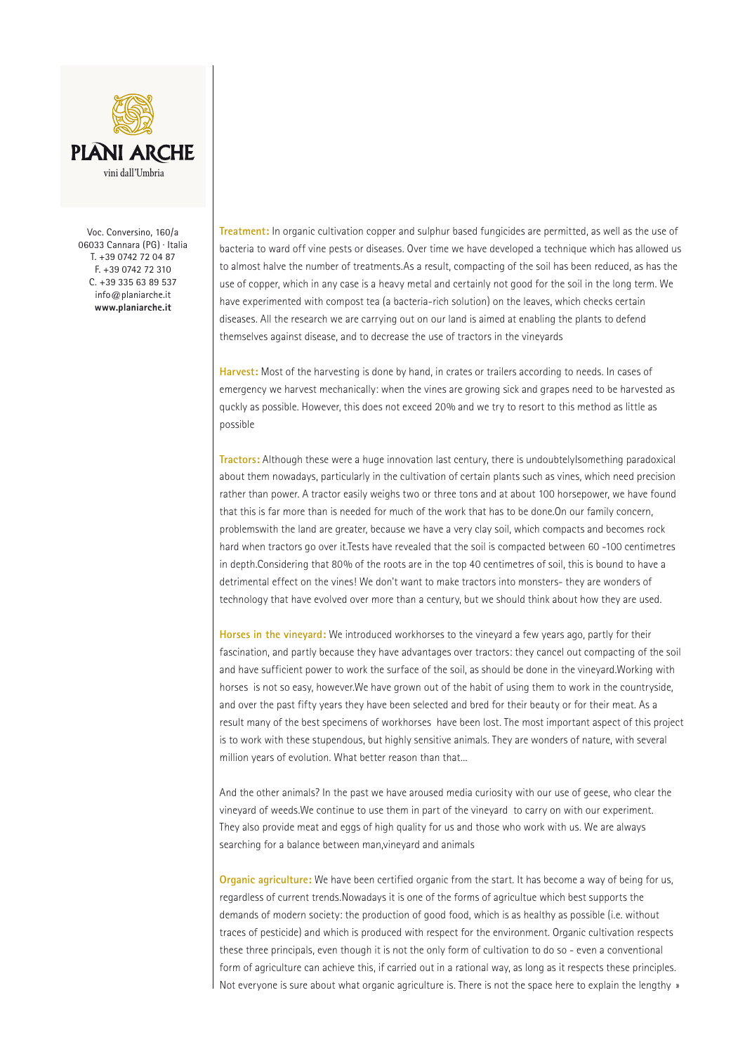

Voc. Conversino, 160/a 06033 Cannara (PG) · Italia T. +39 0742 72 04 87 F. +39 0742 72 310 C. +39 335 63 89 537 info@planiarche.it **www.planiarche.it**

**Treatment:** In organic cultivation copper and sulphur based fungicides are permitted, as well as the use of bacteria to ward off vine pests or diseases. Over time we have developed a technique which has allowed us to almost halve the number of treatments.As a result, compacting of the soil has been reduced, as has the use of copper, which in any case is a heavy metal and certainly not good for the soil in the long term. We have experimented with compost tea (a bacteria-rich solution) on the leaves, which checks certain diseases. All the research we are carrying out on our land is aimed at enabling the plants to defend themselves against disease, and to decrease the use of tractors in the vineyards

**Harvest:** Most of the harvesting is done by hand, in crates or trailers according to needs. In cases of emergency we harvest mechanically: when the vines are growing sick and grapes need to be harvested as quckly as possible. However, this does not exceed 20% and we try to resort to this method as little as possible

**Tractors:** Although these were a huge innovation last century, there is undoubtelyIsomething paradoxical about them nowadays, particularly in the cultivation of certain plants such as vines, which need precision rather than power. A tractor easily weighs two or three tons and at about 100 horsepower, we have found that this is far more than is needed for much of the work that has to be done.On our family concern, problemswith the land are greater, because we have a very clay soil, which compacts and becomes rock hard when tractors go over it.Tests have revealed that the soil is compacted between 60 -100 centimetres in depth.Considering that 80% of the roots are in the top 40 centimetres of soil, this is bound to have a detrimental effect on the vines! We don't want to make tractors into monsters- they are wonders of technology that have evolved over more than a century, but we should think about how they are used.

**Horses in the vineyard:** We introduced workhorses to the vineyard a few years ago, partly for their fascination, and partly because they have advantages over tractors: they cancel out compacting of the soil and have sufficient power to work the surface of the soil, as should be done in the vineyard.Working with horses is not so easy, however.We have grown out of the habit of using them to work in the countryside, and over the past fifty years they have been selected and bred for their beauty or for their meat. As a result many of the best specimens of workhorses have been lost. The most important aspect of this project is to work with these stupendous, but highly sensitive animals. They are wonders of nature, with several million years of evolution. What better reason than that...

And the other animals? In the past we have aroused media curiosity with our use of geese, who clear the vineyard of weeds.We continue to use them in part of the vineyard to carry on with our experiment. They also provide meat and eggs of high quality for us and those who work with us. We are always searching for a balance between man,vineyard and animals

**Organic agriculture:** We have been certified organic from the start. It has become a way of being for us, regardless of current trends.Nowadays it is one of the forms of agricultue which best supports the demands of modern society: the production of good food, which is as healthy as possible (i.e. without traces of pesticide) and which is produced with respect for the environment. Organic cultivation respects these three principals, even though it is not the only form of cultivation to do so - even a conventional form of agriculture can achieve this, if carried out in a rational way, as long as it respects these principles. Not everyone is sure about what organic agriculture is. There is not the space here to explain the lengthy »